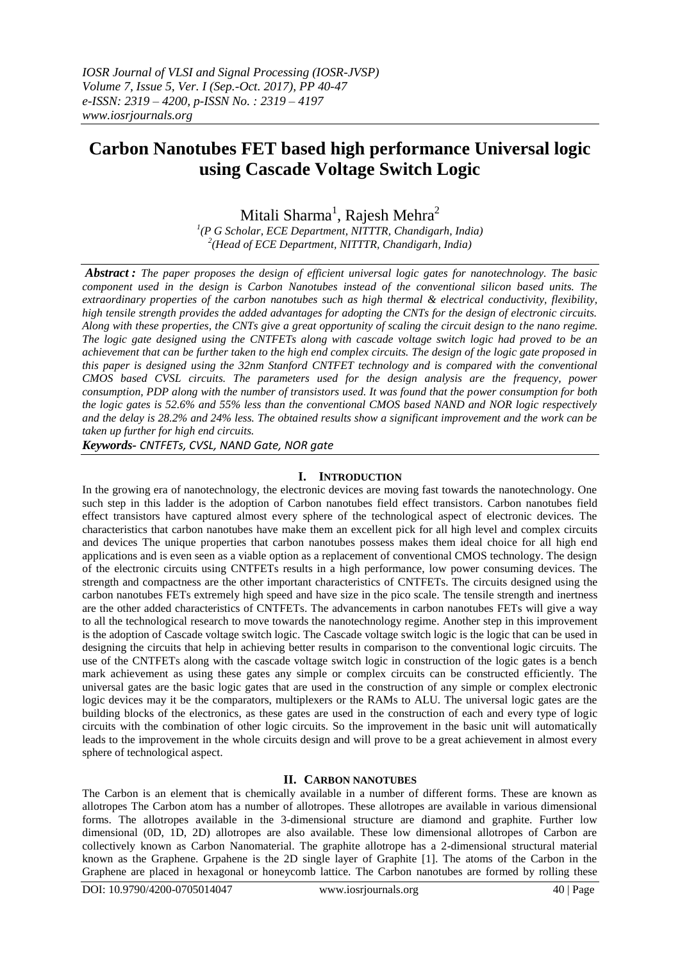# **Carbon Nanotubes FET based high performance Universal logic using Cascade Voltage Switch Logic**

Mitali Sharma<sup>1</sup>, Rajesh Mehra<sup>2</sup>

*1 (P G Scholar, ECE Department, NITTTR, Chandigarh, India) 2 (Head of ECE Department, NITTTR, Chandigarh, India)*

*Abstract : The paper proposes the design of efficient universal logic gates for nanotechnology. The basic component used in the design is Carbon Nanotubes instead of the conventional silicon based units. The extraordinary properties of the carbon nanotubes such as high thermal & electrical conductivity, flexibility, high tensile strength provides the added advantages for adopting the CNTs for the design of electronic circuits. Along with these properties, the CNTs give a great opportunity of scaling the circuit design to the nano regime. The logic gate designed using the CNTFETs along with cascade voltage switch logic had proved to be an achievement that can be further taken to the high end complex circuits. The design of the logic gate proposed in this paper is designed using the 32nm Stanford CNTFET technology and is compared with the conventional CMOS based CVSL circuits. The parameters used for the design analysis are the frequency, power consumption, PDP along with the number of transistors used. It was found that the power consumption for both the logic gates is 52.6% and 55% less than the conventional CMOS based NAND and NOR logic respectively and the delay is 28.2% and 24% less. The obtained results show a significant improvement and the work can be taken up further for high end circuits.*

*Keywords- CNTFETs, CVSL, NAND Gate, NOR gate*

# **I. INTRODUCTION**

In the growing era of nanotechnology, the electronic devices are moving fast towards the nanotechnology. One such step in this ladder is the adoption of Carbon nanotubes field effect transistors. Carbon nanotubes field effect transistors have captured almost every sphere of the technological aspect of electronic devices. The characteristics that carbon nanotubes have make them an excellent pick for all high level and complex circuits and devices The unique properties that carbon nanotubes possess makes them ideal choice for all high end applications and is even seen as a viable option as a replacement of conventional CMOS technology. The design of the electronic circuits using CNTFETs results in a high performance, low power consuming devices. The strength and compactness are the other important characteristics of CNTFETs. The circuits designed using the carbon nanotubes FETs extremely high speed and have size in the pico scale. The tensile strength and inertness are the other added characteristics of CNTFETs. The advancements in carbon nanotubes FETs will give a way to all the technological research to move towards the nanotechnology regime. Another step in this improvement is the adoption of Cascade voltage switch logic. The Cascade voltage switch logic is the logic that can be used in designing the circuits that help in achieving better results in comparison to the conventional logic circuits. The use of the CNTFETs along with the cascade voltage switch logic in construction of the logic gates is a bench mark achievement as using these gates any simple or complex circuits can be constructed efficiently. The universal gates are the basic logic gates that are used in the construction of any simple or complex electronic logic devices may it be the comparators, multiplexers or the RAMs to ALU. The universal logic gates are the building blocks of the electronics, as these gates are used in the construction of each and every type of logic circuits with the combination of other logic circuits. So the improvement in the basic unit will automatically leads to the improvement in the whole circuits design and will prove to be a great achievement in almost every sphere of technological aspect.

# **II. CARBON NANOTUBES**

The Carbon is an element that is chemically available in a number of different forms. These are known as allotropes The Carbon atom has a number of allotropes. These allotropes are available in various dimensional forms. The allotropes available in the 3-dimensional structure are diamond and graphite. Further low dimensional (0D, 1D, 2D) allotropes are also available. These low dimensional allotropes of Carbon are collectively known as Carbon Nanomaterial. The graphite allotrope has a 2-dimensional structural material known as the Graphene. Grpahene is the 2D single layer of Graphite [1]. The atoms of the Carbon in the Graphene are placed in hexagonal or honeycomb lattice. The Carbon nanotubes are formed by rolling these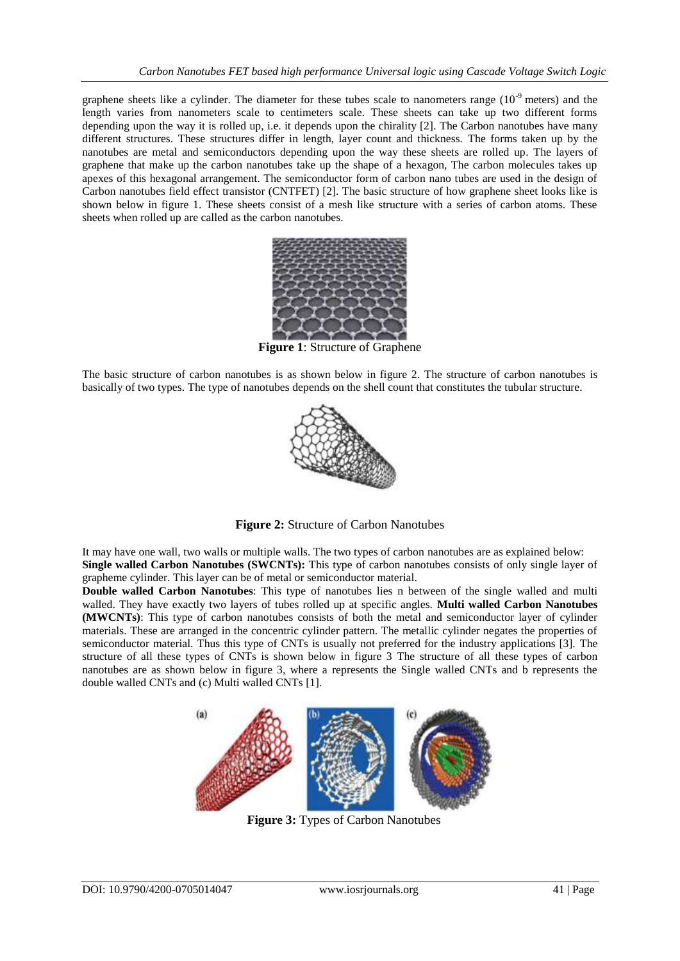graphene sheets like a cylinder. The diameter for these tubes scale to nanometers range  $(10^{-9}$  meters) and the length varies from nanometers scale to centimeters scale. These sheets can take up two different forms depending upon the way it is rolled up, i.e. it depends upon the chirality [2]. The Carbon nanotubes have many different structures. These structures differ in length, layer count and thickness. The forms taken up by the nanotubes are metal and semiconductors depending upon the way these sheets are rolled up. The layers of graphene that make up the carbon nanotubes take up the shape of a hexagon, The carbon molecules takes up apexes of this hexagonal arrangement. The semiconductor form of carbon nano tubes are used in the design of Carbon nanotubes field effect transistor (CNTFET) [2]. The basic structure of how graphene sheet looks like is shown below in figure 1. These sheets consist of a mesh like structure with a series of carbon atoms. These sheets when rolled up are called as the carbon nanotubes.



**Figure 1**: Structure of Graphene

The basic structure of carbon nanotubes is as shown below in figure 2. The structure of carbon nanotubes is basically of two types. The type of nanotubes depends on the shell count that constitutes the tubular structure.



**Figure 2:** Structure of Carbon Nanotubes

It may have one wall, two walls or multiple walls. The two types of carbon nanotubes are as explained below: **Single walled Carbon Nanotubes (SWCNTs):** This type of carbon nanotubes consists of only single layer of grapheme cylinder. This layer can be of metal or semiconductor material.

**Double walled Carbon Nanotubes**: This type of nanotubes lies n between of the single walled and multi walled. They have exactly two layers of tubes rolled up at specific angles. **Multi walled Carbon Nanotubes (MWCNTs)**: This type of carbon nanotubes consists of both the metal and semiconductor layer of cylinder materials. These are arranged in the concentric cylinder pattern. The metallic cylinder negates the properties of semiconductor material. Thus this type of CNTs is usually not preferred for the industry applications [3]. The structure of all these types of CNTs is shown below in figure 3 The structure of all these types of carbon nanotubes are as shown below in figure 3, where a represents the Single walled CNTs and b represents the double walled CNTs and (c) Multi walled CNTs [1].



**Figure 3:** Types of Carbon Nanotubes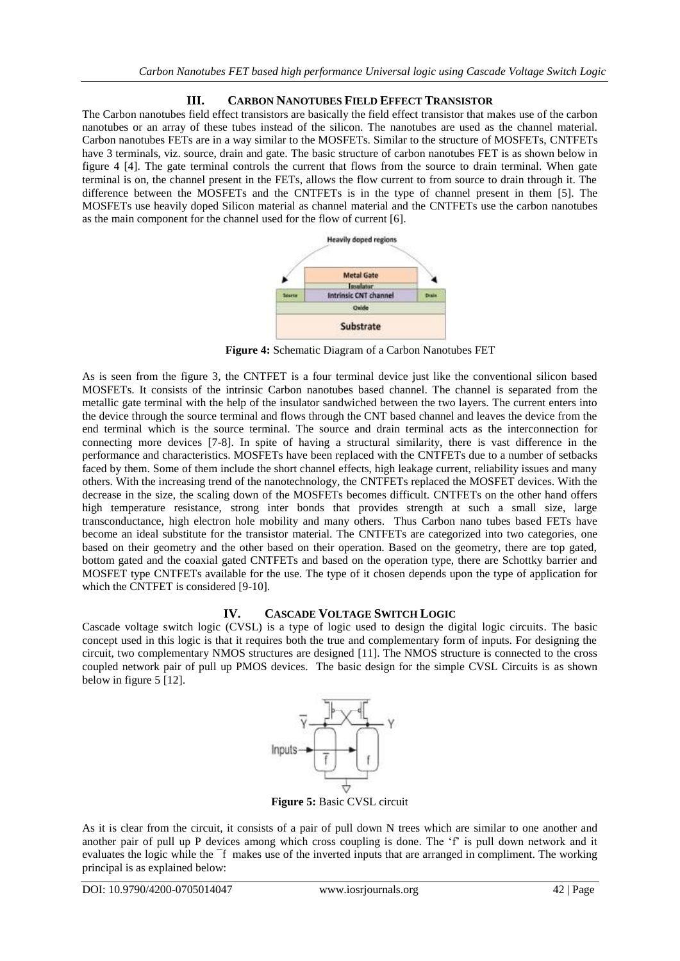# **III. CARBON NANOTUBES FIELD EFFECT TRANSISTOR**

The Carbon nanotubes field effect transistors are basically the field effect transistor that makes use of the carbon nanotubes or an array of these tubes instead of the silicon. The nanotubes are used as the channel material. Carbon nanotubes FETs are in a way similar to the MOSFETs. Similar to the structure of MOSFETs, CNTFETs have 3 terminals, viz. source, drain and gate. The basic structure of carbon nanotubes FET is as shown below in figure 4 [4]. The gate terminal controls the current that flows from the source to drain terminal. When gate terminal is on, the channel present in the FETs, allows the flow current to from source to drain through it. The difference between the MOSFETs and the CNTFETs is in the type of channel present in them [5]. The MOSFETs use heavily doped Silicon material as channel material and the CNTFETs use the carbon nanotubes as the main component for the channel used for the flow of current [6].



**Figure 4:** Schematic Diagram of a Carbon Nanotubes FET

As is seen from the figure 3, the CNTFET is a four terminal device just like the conventional silicon based MOSFETs. It consists of the intrinsic Carbon nanotubes based channel. The channel is separated from the metallic gate terminal with the help of the insulator sandwiched between the two layers. The current enters into the device through the source terminal and flows through the CNT based channel and leaves the device from the end terminal which is the source terminal. The source and drain terminal acts as the interconnection for connecting more devices [7-8]. In spite of having a structural similarity, there is vast difference in the performance and characteristics. MOSFETs have been replaced with the CNTFETs due to a number of setbacks faced by them. Some of them include the short channel effects, high leakage current, reliability issues and many others. With the increasing trend of the nanotechnology, the CNTFETs replaced the MOSFET devices. With the decrease in the size, the scaling down of the MOSFETs becomes difficult. CNTFETs on the other hand offers high temperature resistance, strong inter bonds that provides strength at such a small size, large transconductance, high electron hole mobility and many others. Thus Carbon nano tubes based FETs have become an ideal substitute for the transistor material. The CNTFETs are categorized into two categories, one based on their geometry and the other based on their operation. Based on the geometry, there are top gated, bottom gated and the coaxial gated CNTFETs and based on the operation type, there are Schottky barrier and MOSFET type CNTFETs available for the use. The type of it chosen depends upon the type of application for which the CNTFET is considered [9-10].

# **IV. CASCADE VOLTAGE SWITCH LOGIC**

Cascade voltage switch logic (CVSL) is a type of logic used to design the digital logic circuits. The basic concept used in this logic is that it requires both the true and complementary form of inputs. For designing the circuit, two complementary NMOS structures are designed [11]. The NMOS structure is connected to the cross coupled network pair of pull up PMOS devices. The basic design for the simple CVSL Circuits is as shown below in figure 5 [12].



**Figure 5:** Basic CVSL circuit

As it is clear from the circuit, it consists of a pair of pull down N trees which are similar to one another and another pair of pull up P devices among which cross coupling is done. The 'f' is pull down network and it evaluates the logic while the ¯f makes use of the inverted inputs that are arranged in compliment. The working principal is as explained below: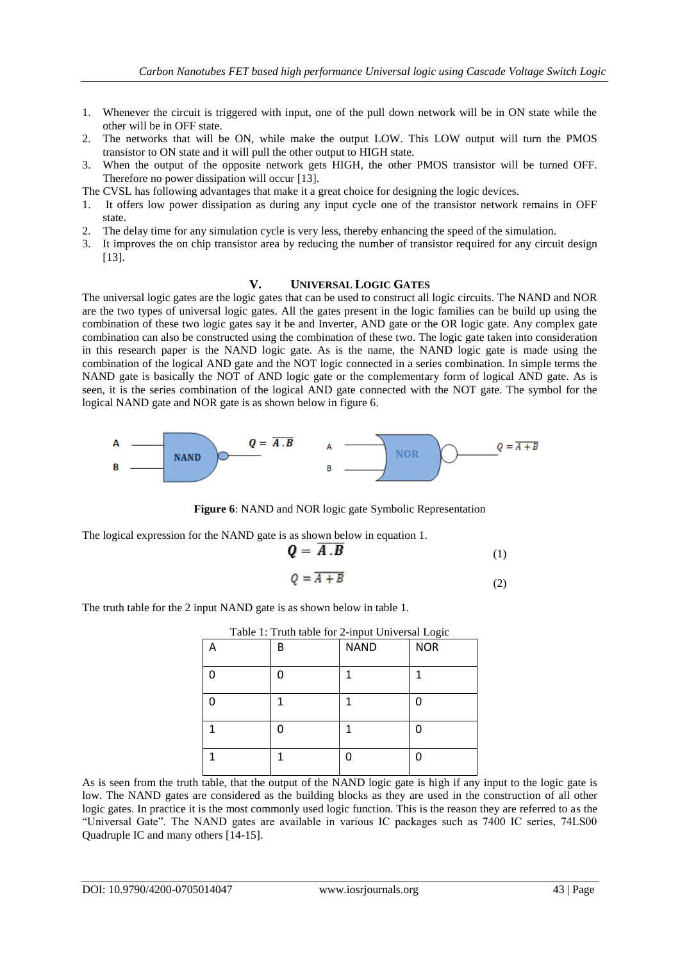- 1. Whenever the circuit is triggered with input, one of the pull down network will be in ON state while the other will be in OFF state.
- 2. The networks that will be ON, while make the output LOW. This LOW output will turn the PMOS transistor to ON state and it will pull the other output to HIGH state.
- 3. When the output of the opposite network gets HIGH, the other PMOS transistor will be turned OFF. Therefore no power dissipation will occur [13].
- The CVSL has following advantages that make it a great choice for designing the logic devices.
- 1. It offers low power dissipation as during any input cycle one of the transistor network remains in OFF state.
- 2. The delay time for any simulation cycle is very less, thereby enhancing the speed of the simulation.
- 3. It improves the on chip transistor area by reducing the number of transistor required for any circuit design [13].

#### **V. UNIVERSAL LOGIC GATES**

The universal logic gates are the logic gates that can be used to construct all logic circuits. The NAND and NOR are the two types of universal logic gates. All the gates present in the logic families can be build up using the combination of these two logic gates say it be and Inverter, AND gate or the OR logic gate. Any complex gate combination can also be constructed using the combination of these two. The logic gate taken into consideration in this research paper is the NAND logic gate. As is the name, the NAND logic gate is made using the combination of the logical AND gate and the NOT logic connected in a series combination. In simple terms the NAND gate is basically the NOT of AND logic gate or the complementary form of logical AND gate. As is seen, it is the series combination of the logical AND gate connected with the NOT gate. The symbol for the logical NAND gate and NOR gate is as shown below in figure 6.



**Figure 6**: NAND and NOR logic gate Symbolic Representation

The logical expression for the NAND gate is as shown below in equation 1.

$$
Q = \overline{A \cdot B} \tag{1}
$$

$$
Q = \overline{A + B} \tag{2}
$$

The truth table for the 2 input NAND gate is as shown below in table 1.

| Table 1: Truth table for 2-input Universal Logic |             |            |
|--------------------------------------------------|-------------|------------|
| B                                                | <b>NAND</b> | <b>NOR</b> |
|                                                  |             |            |
|                                                  |             |            |
|                                                  |             |            |
|                                                  |             |            |

As is seen from the truth table, that the output of the NAND logic gate is high if any input to the logic gate is low. The NAND gates are considered as the building blocks as they are used in the construction of all other logic gates. In practice it is the most commonly used logic function. This is the reason they are referred to as the ―Universal Gate‖. The NAND gates are available in various IC packages such as 7400 IC series, 74LS00 Quadruple IC and many others [14-15].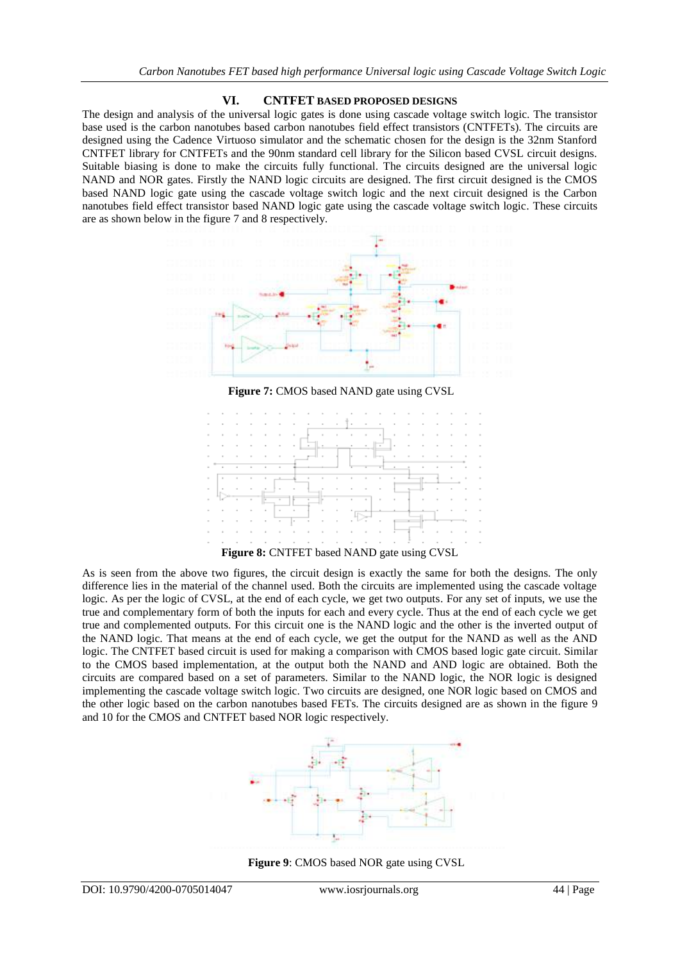#### **VI. CNTFET BASED PROPOSED DESIGNS**

The design and analysis of the universal logic gates is done using cascade voltage switch logic. The transistor base used is the carbon nanotubes based carbon nanotubes field effect transistors (CNTFETs). The circuits are designed using the Cadence Virtuoso simulator and the schematic chosen for the design is the 32nm Stanford CNTFET library for CNTFETs and the 90nm standard cell library for the Silicon based CVSL circuit designs. Suitable biasing is done to make the circuits fully functional. The circuits designed are the universal logic NAND and NOR gates. Firstly the NAND logic circuits are designed. The first circuit designed is the CMOS based NAND logic gate using the cascade voltage switch logic and the next circuit designed is the Carbon nanotubes field effect transistor based NAND logic gate using the cascade voltage switch logic. These circuits are as shown below in the figure 7 and 8 respectively.



**Figure 7:** CMOS based NAND gate using CVSL



As is seen from the above two figures, the circuit design is exactly the same for both the designs. The only difference lies in the material of the channel used. Both the circuits are implemented using the cascade voltage logic. As per the logic of CVSL, at the end of each cycle, we get two outputs. For any set of inputs, we use the true and complementary form of both the inputs for each and every cycle. Thus at the end of each cycle we get true and complemented outputs. For this circuit one is the NAND logic and the other is the inverted output of the NAND logic. That means at the end of each cycle, we get the output for the NAND as well as the AND logic. The CNTFET based circuit is used for making a comparison with CMOS based logic gate circuit. Similar to the CMOS based implementation, at the output both the NAND and AND logic are obtained. Both the circuits are compared based on a set of parameters. Similar to the NAND logic, the NOR logic is designed implementing the cascade voltage switch logic. Two circuits are designed, one NOR logic based on CMOS and the other logic based on the carbon nanotubes based FETs. The circuits designed are as shown in the figure 9 and 10 for the CMOS and CNTFET based NOR logic respectively.



**Figure 9**: CMOS based NOR gate using CVSL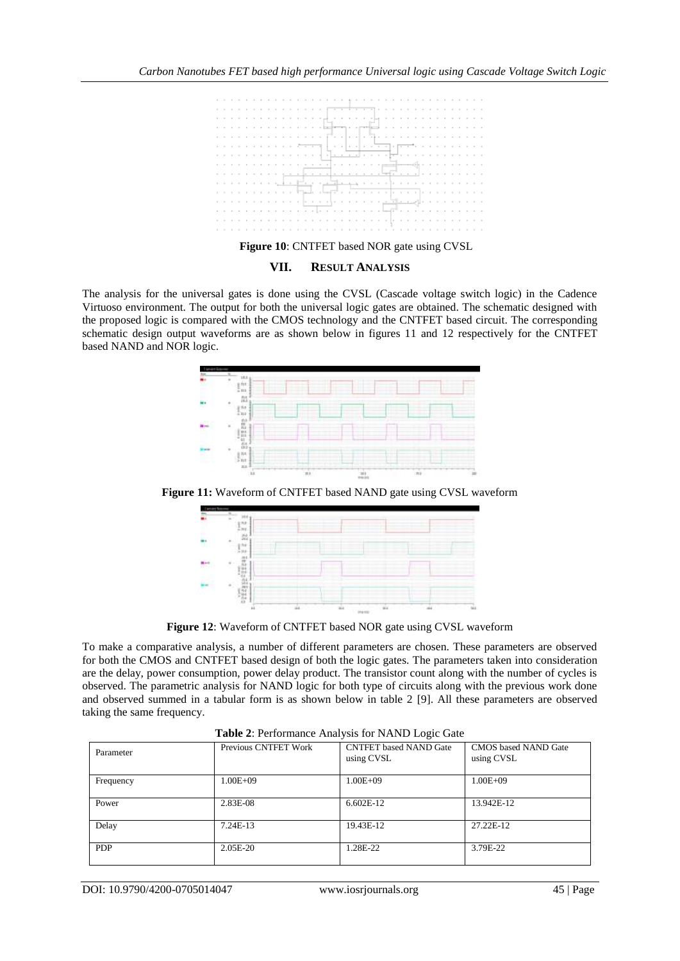

#### **VII. RESULT ANALYSIS**

The analysis for the universal gates is done using the CVSL (Cascade voltage switch logic) in the Cadence Virtuoso environment. The output for both the universal logic gates are obtained. The schematic designed with the proposed logic is compared with the CMOS technology and the CNTFET based circuit. The corresponding schematic design output waveforms are as shown below in figures 11 and 12 respectively for the CNTFET based NAND and NOR logic.



**Figure 11:** Waveform of CNTFET based NAND gate using CVSL waveform



**Figure 12**: Waveform of CNTFET based NOR gate using CVSL waveform

To make a comparative analysis, a number of different parameters are chosen. These parameters are observed for both the CMOS and CNTFET based design of both the logic gates. The parameters taken into consideration are the delay, power consumption, power delay product. The transistor count along with the number of cycles is observed. The parametric analysis for NAND logic for both type of circuits along with the previous work done and observed summed in a tabular form is as shown below in table 2 [9]. All these parameters are observed taking the same frequency.

| Parameter  | Previous CNTFET Work | <b>CNTFET</b> based NAND Gate<br>using CVSL | <b>CMOS</b> based NAND Gate<br>using CVSL |  |
|------------|----------------------|---------------------------------------------|-------------------------------------------|--|
| Frequency  | $1.00E + 09$         | $0.00E + 09$                                | $1.00E + 09$                              |  |
| Power      | 2.83E-08             | $6.602E-12$                                 | 13.942E-12                                |  |
| Delay      | $7.24E-13$           | 19.43E-12                                   | 27.22E-12                                 |  |
| <b>PDP</b> | 2.05E-20             | .28E-22                                     | 3.79E-22                                  |  |

**Table 2**: Performance Analysis for NAND Logic Gate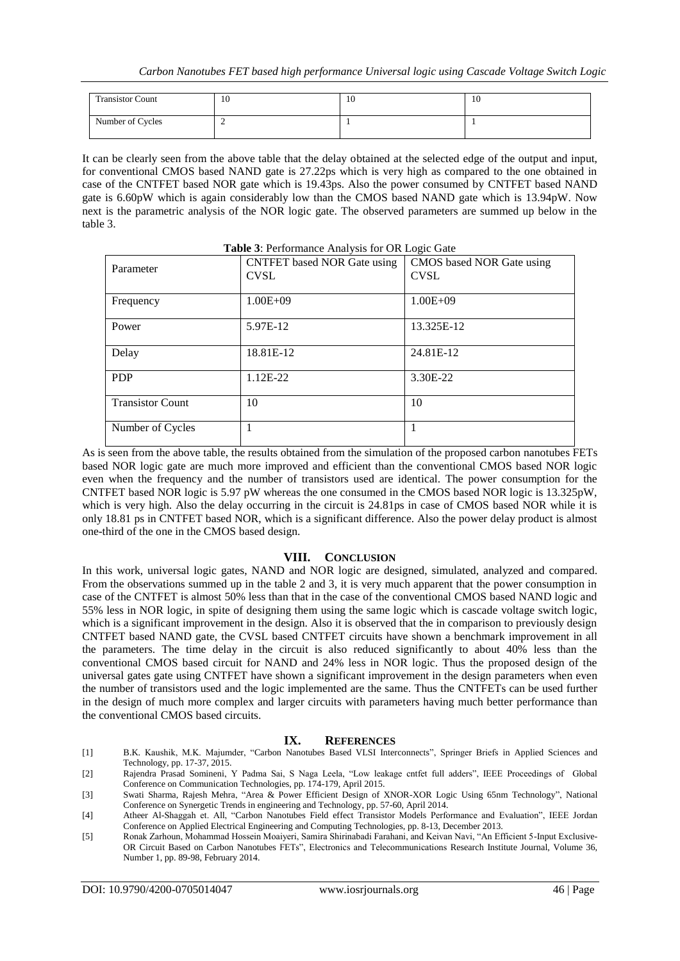| <b>Transistor Count</b> | 10 | 10 | 10 |
|-------------------------|----|----|----|
| Number of Cycles        | -  |    |    |

It can be clearly seen from the above table that the delay obtained at the selected edge of the output and input, for conventional CMOS based NAND gate is 27.22ps which is very high as compared to the one obtained in case of the CNTFET based NOR gate which is 19.43ps. Also the power consumed by CNTFET based NAND gate is 6.60pW which is again considerably low than the CMOS based NAND gate which is 13.94pW. Now next is the parametric analysis of the NOR logic gate. The observed parameters are summed up below in the table 3.

| <b>Table 3: Performance Analysis for OR Logic Gate</b> |                                                   |                                          |  |  |
|--------------------------------------------------------|---------------------------------------------------|------------------------------------------|--|--|
| Parameter                                              | <b>CNTFET</b> based NOR Gate using<br><b>CVSL</b> | CMOS based NOR Gate using<br><b>CVSL</b> |  |  |
| Frequency                                              | $1.00E + 09$                                      | $1.00E + 09$                             |  |  |
| Power                                                  | 5.97E-12                                          | 13.325E-12                               |  |  |
| Delay                                                  | 18.81E-12                                         | 24.81E-12                                |  |  |
| <b>PDP</b>                                             | 1.12E-22                                          | 3.30E-22                                 |  |  |
| <b>Transistor Count</b>                                | 10                                                | 10                                       |  |  |
| Number of Cycles                                       |                                                   |                                          |  |  |

As is seen from the above table, the results obtained from the simulation of the proposed carbon nanotubes FETs based NOR logic gate are much more improved and efficient than the conventional CMOS based NOR logic even when the frequency and the number of transistors used are identical. The power consumption for the CNTFET based NOR logic is 5.97 pW whereas the one consumed in the CMOS based NOR logic is 13.325pW, which is very high. Also the delay occurring in the circuit is 24.81ps in case of CMOS based NOR while it is only 18.81 ps in CNTFET based NOR, which is a significant difference. Also the power delay product is almost one-third of the one in the CMOS based design.

#### **VIII. CONCLUSION**

In this work, universal logic gates, NAND and NOR logic are designed, simulated, analyzed and compared. From the observations summed up in the table 2 and 3, it is very much apparent that the power consumption in case of the CNTFET is almost 50% less than that in the case of the conventional CMOS based NAND logic and 55% less in NOR logic, in spite of designing them using the same logic which is cascade voltage switch logic, which is a significant improvement in the design. Also it is observed that the in comparison to previously design CNTFET based NAND gate, the CVSL based CNTFET circuits have shown a benchmark improvement in all the parameters. The time delay in the circuit is also reduced significantly to about 40% less than the conventional CMOS based circuit for NAND and 24% less in NOR logic. Thus the proposed design of the universal gates gate using CNTFET have shown a significant improvement in the design parameters when even the number of transistors used and the logic implemented are the same. Thus the CNTFETs can be used further in the design of much more complex and larger circuits with parameters having much better performance than the conventional CMOS based circuits.

#### **IX. REFERENCES**

- [1] B.K. Kaushik, M.K. Majumder, "Carbon Nanotubes Based VLSI Interconnects", Springer Briefs in Applied Sciences and Technology, pp. 17-37, 2015.
- [2] Rajendra Prasad Somineni, Y Padma Sai, S Naga Leela, "Low leakage cntfet full adders", IEEE Proceedings of Global Conference on Communication Technologies, pp. 174-179, April 2015.
- [3] Swati Sharma, Rajesh Mehra, "Area & Power Efficient Design of XNOR-XOR Logic Using 65nm Technology", National Conference on Synergetic Trends in engineering and Technology, pp. 57-60, April 2014.
- [4] Atheer Al-Shaggah et. All, "Carbon Nanotubes Field effect Transistor Models Performance and Evaluation", IEEE Jordan Conference on Applied Electrical Engineering and Computing Technologies, pp. 8-13, December 2013.
- [5] Ronak Zarhoun, Mohammad Hossein Moaiyeri, Samira Shirinabadi Farahani, and Keivan Navi, "An Efficient 5-Input Exclusive-OR Circuit Based on Carbon Nanotubes FETs", Electronics and Telecommunications Research Institute Journal, Volume 36, Number 1, pp. 89-98, February 2014.